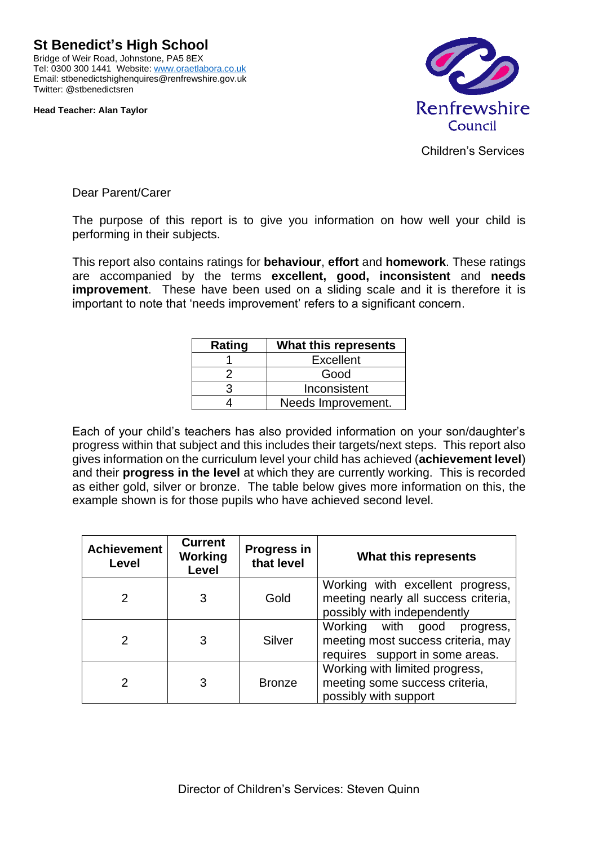**St Benedict's High School** Bridge of Weir Road, Johnstone, PA5 8EX Tel: 0300 300 1441 Website[: www.oraetlabora.co.uk](http://www.oraetlabora.co.uk/) Email: stbenedictshighenquires@renfrewshire.gov.uk

**Head Teacher: Alan Taylor**

Twitter: @stbenedictsren



Children's Services

Dear Parent/Carer

The purpose of this report is to give you information on how well your child is performing in their subjects.

This report also contains ratings for **behaviour**, **effort** and **homework**. These ratings are accompanied by the terms **excellent, good, inconsistent** and **needs improvement**. These have been used on a sliding scale and it is therefore it is important to note that 'needs improvement' refers to a significant concern.

| Rating | What this represents |  |
|--------|----------------------|--|
|        | <b>Excellent</b>     |  |
|        | Good                 |  |
|        | Inconsistent         |  |
|        | Needs Improvement.   |  |

Each of your child's teachers has also provided information on your son/daughter's progress within that subject and this includes their targets/next steps. This report also gives information on the curriculum level your child has achieved (**achievement level**) and their **progress in the level** at which they are currently working. This is recorded as either gold, silver or bronze. The table below gives more information on this, the example shown is for those pupils who have achieved second level.

| <b>Achievement</b><br>Level | <b>Current</b><br><b>Working</b><br>Level | <b>Progress in</b><br>that level | What this represents                                                                                       |
|-----------------------------|-------------------------------------------|----------------------------------|------------------------------------------------------------------------------------------------------------|
| 2                           | 3                                         | Gold                             | Working with excellent progress,<br>meeting nearly all success criteria,<br>possibly with independently    |
| 2                           | 3                                         | Silver                           | Working with<br>good<br>progress,<br>meeting most success criteria, may<br>requires support in some areas. |
| າ                           | 3                                         | <b>Bronze</b>                    | Working with limited progress,<br>meeting some success criteria,<br>possibly with support                  |